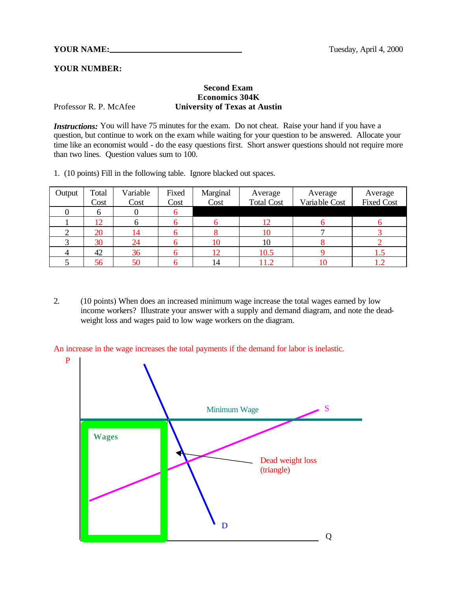## **YOUR NUMBER:**

## **Second Exam Economics 304K** Professor R. P. McAfee **University of Texas at Austin**

P

*Instructions:* You will have 75 minutes for the exam. Do not cheat. Raise your hand if you have a question, but continue to work on the exam while waiting for your question to be answered. Allocate your time like an economist would - do the easy questions first. Short answer questions should not require more than two lines. Question values sum to 100.

1. (10 points) Fill in the following table. Ignore blacked out spaces.

| Output | Total | Variable | Fixed | Marginal | Average           | Average        | Average           |
|--------|-------|----------|-------|----------|-------------------|----------------|-------------------|
|        | Cost  | Cost     | Cost  | Cost     | <b>Total Cost</b> | Varia ble Cost | <b>Fixed Cost</b> |
|        |       |          |       |          |                   |                |                   |
|        | 12    |          |       |          |                   |                |                   |
|        | 20    |          |       |          | 10                |                |                   |
|        | 30    | 24       |       |          | 10                |                |                   |
|        | 42    | 36       |       |          | 10.5              |                |                   |
|        | 56    | 50       |       | 14       |                   |                |                   |

2. (10 points) When does an increased minimum wage increase the total wages earned by low income workers? Illustrate your answer with a supply and demand diagram, and note the deadweight loss and wages paid to low wage workers on the diagram.

An increase in the wage increases the total payments if the demand for labor is inelastic.

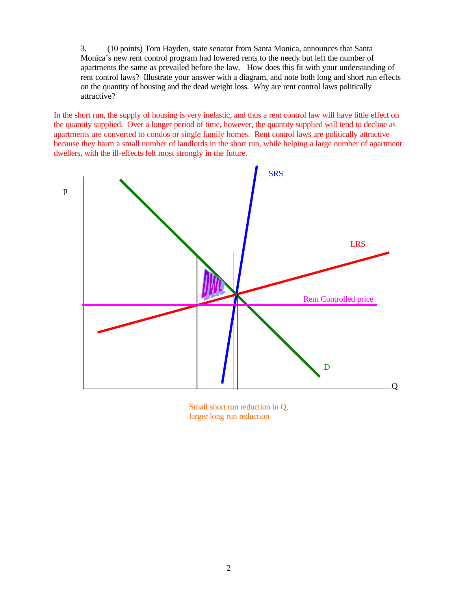3. (10 points) Tom Hayden, state senator from Santa Monica, announces that Santa Monica's new rent control program had lowered rents to the needy but left the number of apartments the same as prevailed before the law. How does this fit with your understanding of rent control laws? Illustrate your answer with a diagram, and note both long and short run effects on the quantity of housing and the dead weight loss. Why are rent control laws politically attractive?

In the short run, the supply of housing is very inelastic, and thus a rent control law will have little effect on the quantity supplied. Over a longer period of time, however, the quantity supplied will tend to decline as apartments are converted to condos or single family homes. Rent control laws are politically attractive because they harm a small number of landlords in the short run, while helping a large number of apartment dwellers, with the ill-effects felt most strongly in the future.



Small short run reduction in Q, larger long run reduction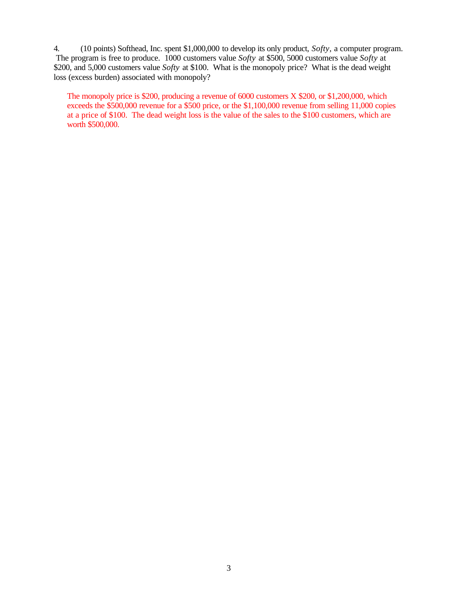4. (10 points) Softhead, Inc. spent \$1,000,000 to develop its only product, *Softy,* a computer program. The program is free to produce. 1000 customers value *Softy* at \$500, 5000 customers value *Softy* at \$200, and 5,000 customers value *Softy* at \$100. What is the monopoly price? What is the dead weight loss (excess burden) associated with monopoly?

The monopoly price is \$200, producing a revenue of 6000 customers X \$200, or \$1,200,000, which exceeds the \$500,000 revenue for a \$500 price, or the \$1,100,000 revenue from selling 11,000 copies at a price of \$100. The dead weight loss is the value of the sales to the \$100 customers, which are worth \$500,000.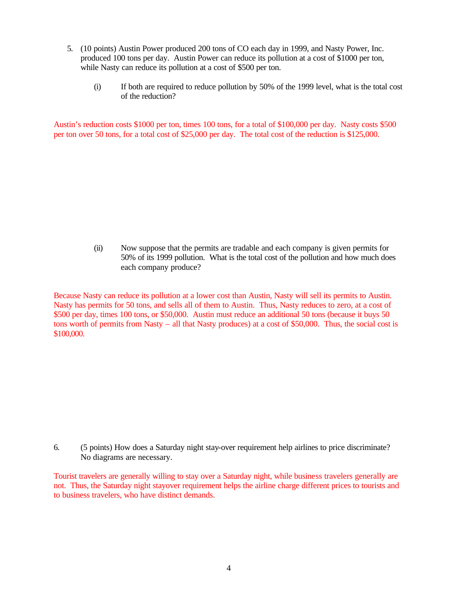- 5. (10 points) Austin Power produced 200 tons of CO each day in 1999, and Nasty Power, Inc. produced 100 tons per day. Austin Power can reduce its pollution at a cost of \$1000 per ton, while Nasty can reduce its pollution at a cost of \$500 per ton.
	- (i) If both are required to reduce pollution by 50% of the 1999 level, what is the total cost of the reduction?

Austin's reduction costs \$1000 per ton, times 100 tons, for a total of \$100,000 per day. Nasty costs \$500 per ton over 50 tons, for a total cost of \$25,000 per day. The total cost of the reduction is \$125,000.

> (ii) Now suppose that the permits are tradable and each company is given permits for 50% of its 1999 pollution. What is the total cost of the pollution and how much does each company produce?

Because Nasty can reduce its pollution at a lower cost than Austin, Nasty will sell its permits to Austin. Nasty has permits for 50 tons, and sells all of them to Austin. Thus, Nasty reduces to zero, at a cost of \$500 per day, times 100 tons, or \$50,000. Austin must reduce an additional 50 tons (because it buys 50 tons worth of permits from Nasty – all that Nasty produces) at a cost of \$50,000. Thus, the social cost is \$100,000.

6. (5 points) How does a Saturday night stay-over requirement help airlines to price discriminate? No diagrams are necessary.

Tourist travelers are generally willing to stay over a Saturday night, while business travelers generally are not. Thus, the Saturday night stayover requirement helps the airline charge different prices to tourists and to business travelers, who have distinct demands.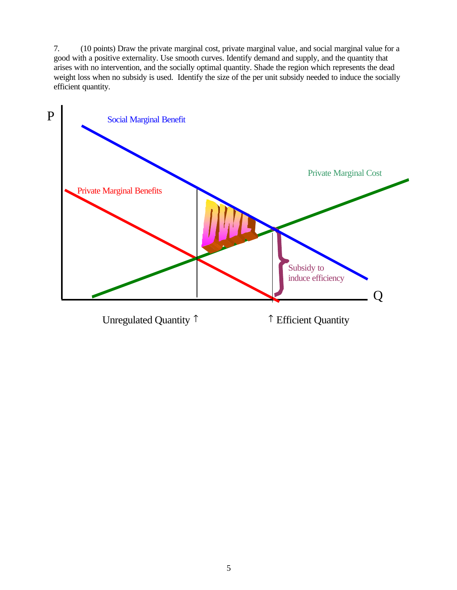7. (10 points) Draw the private marginal cost, private marginal value, and social marginal value for a good with a positive externality. Use smooth curves. Identify demand and supply, and the quantity that arises with no intervention, and the socially optimal quantity. Shade the region which represents the dead weight loss when no subsidy is used. Identify the size of the per unit subsidy needed to induce the socially efficient quantity.

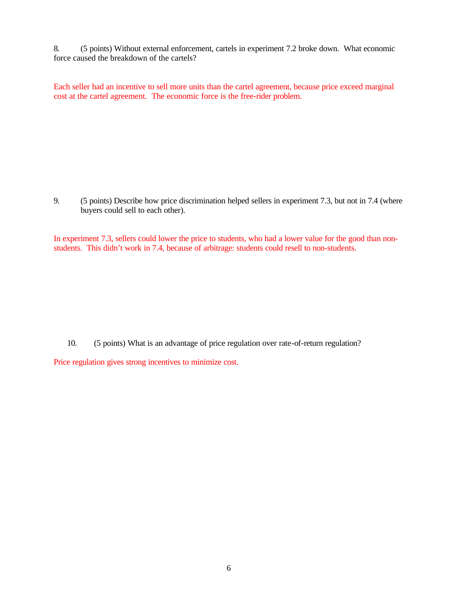8. (5 points) Without external enforcement, cartels in experiment 7.2 broke down. What economic force caused the breakdown of the cartels?

Each seller had an incentive to sell more units than the cartel agreement, because price exceed marginal cost at the cartel agreement. The economic force is the free-rider problem.

9. (5 points) Describe how price discrimination helped sellers in experiment 7.3, but not in 7.4 (where buyers could sell to each other).

In experiment 7.3, sellers could lower the price to students, who had a lower value for the good than nonstudents. This didn't work in 7.4, because of arbitrage: students could resell to non-students.

10. (5 points) What is an advantage of price regulation over rate-of-return regulation?

Price regulation gives strong incentives to minimize cost.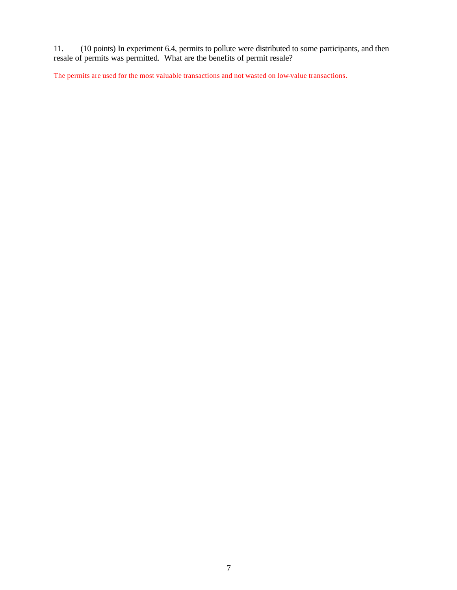11. (10 points) In experiment 6.4, permits to pollute were distributed to some participants, and then resale of permits was permitted. What are the benefits of permit resale?

The permits are used for the most valuable transactions and not wasted on low-value transactions.